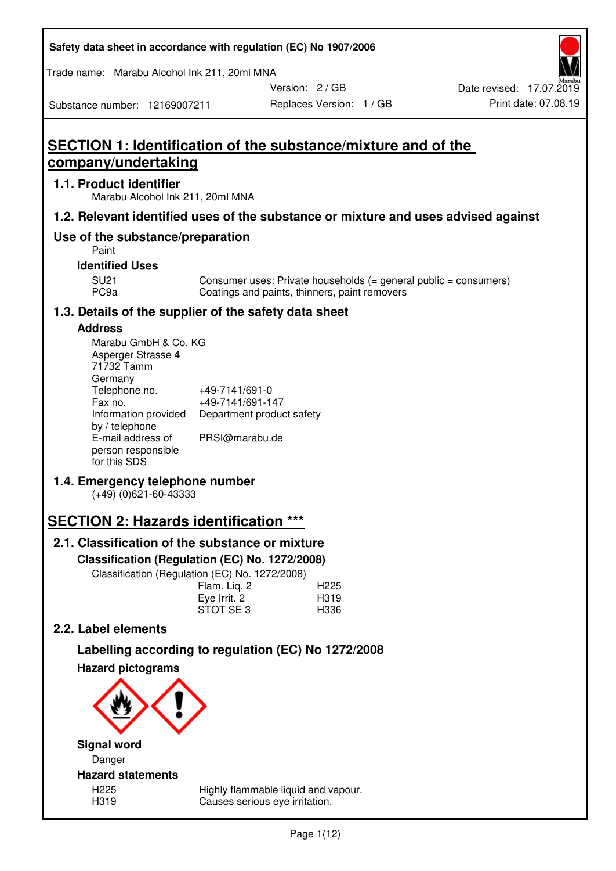| Safety data sheet in accordance with regulation (EC) No 1907/2006 |  |
|-------------------------------------------------------------------|--|
|-------------------------------------------------------------------|--|

Trade name: Marabu Alcohol Ink 211, 20ml MNA

Replaces Version: 1 / GB Print date: 07.08.19 Date revised: 17.07.2019

Substance number: 12169007211

Version: 2 / GB

# **SECTION 1: Identification of the substance/mixture and of the company/undertaking**

## **1.1. Product identifier**

Marabu Alcohol Ink 211, 20ml MNA

## **1.2. Relevant identified uses of the substance or mixture and uses advised against**

## **Use of the substance/preparation**

Paint

### **Identified Uses**

SU21 Consumer uses: Private households (= general public = consumers)<br>PC9a Coatings and paints, thinners, paint removers Coatings and paints, thinners, paint removers

## **1.3. Details of the supplier of the safety data sheet**

## **Address**

| Marabu GmbH & Co. KG |                           |
|----------------------|---------------------------|
| Asperger Strasse 4   |                           |
| 71732 Tamm           |                           |
| Germany              |                           |
| Telephone no.        | +49-7141/691-0            |
| Fax no.              | +49-7141/691-147          |
| Information provided | Department product safety |
| by / telephone       |                           |
| E-mail address of    | PRSI@marabu.de            |
| person responsible   |                           |
| for this SDS         |                           |

## **1.4. Emergency telephone number**

(+49) (0)621-60-43333

## **SECTION 2: Hazards identification \*\*\***

## **2.1. Classification of the substance or mixture**

**Classification (Regulation (EC) No. 1272/2008)** 

Classification (Regulation (EC) No. 1272/2008)

|              | . |                  |
|--------------|---|------------------|
| Flam. Liq. 2 |   | H <sub>225</sub> |
| Eye Irrit. 2 |   | H319             |
| STOT SE3     |   | H336             |
|              |   |                  |

## **2.2. Label elements**

# **Labelling according to regulation (EC) No 1272/2008**



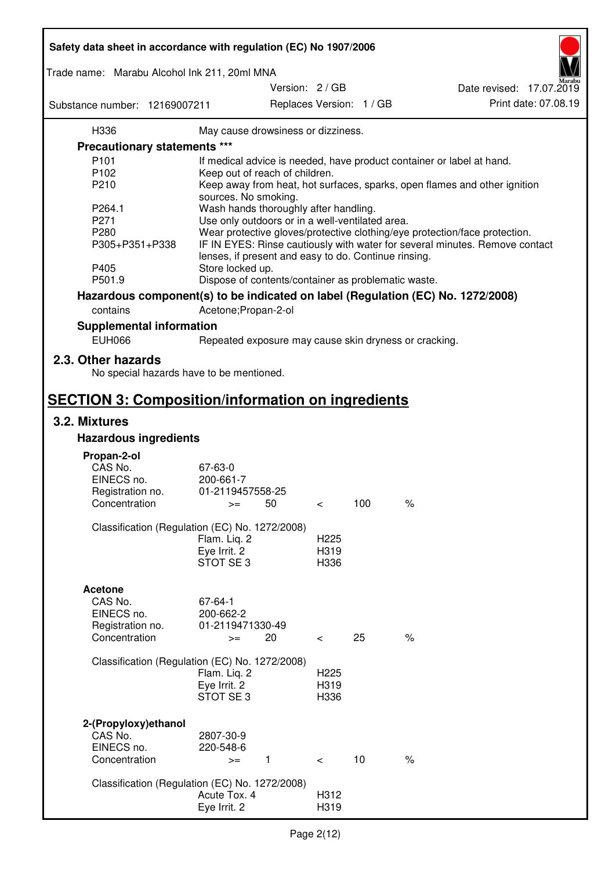| Safety data sheet in accordance with regulation (EC) No 1907/2006 |                                                      |                          |                  |     |                                                                                 |
|-------------------------------------------------------------------|------------------------------------------------------|--------------------------|------------------|-----|---------------------------------------------------------------------------------|
| Trade name: Marabu Alcohol Ink 211, 20ml MNA                      |                                                      |                          |                  |     |                                                                                 |
|                                                                   |                                                      | Version: 2 / GB          |                  |     | Date revised: 17.07.2019                                                        |
| Substance number: 12169007211                                     |                                                      | Replaces Version: 1 / GB |                  |     | Print date: 07.08.19                                                            |
| H336                                                              | May cause drowsiness or dizziness.                   |                          |                  |     |                                                                                 |
| Precautionary statements ***                                      |                                                      |                          |                  |     |                                                                                 |
| P <sub>101</sub>                                                  |                                                      |                          |                  |     | If medical advice is needed, have product container or label at hand.           |
| P102                                                              | Keep out of reach of children.                       |                          |                  |     |                                                                                 |
| P210                                                              |                                                      |                          |                  |     | Keep away from heat, hot surfaces, sparks, open flames and other ignition       |
|                                                                   | sources. No smoking.                                 |                          |                  |     |                                                                                 |
| P264.1                                                            | Wash hands thoroughly after handling.                |                          |                  |     |                                                                                 |
| P271                                                              | Use only outdoors or in a well-ventilated area.      |                          |                  |     |                                                                                 |
| P280                                                              |                                                      |                          |                  |     | Wear protective gloves/protective clothing/eye protection/face protection.      |
| P305+P351+P338                                                    | lenses, if present and easy to do. Continue rinsing. |                          |                  |     | IF IN EYES: Rinse cautiously with water for several minutes. Remove contact     |
| P405                                                              | Store locked up.                                     |                          |                  |     |                                                                                 |
| P501.9                                                            | Dispose of contents/container as problematic waste.  |                          |                  |     |                                                                                 |
|                                                                   |                                                      |                          |                  |     | Hazardous component(s) to be indicated on label (Regulation (EC) No. 1272/2008) |
|                                                                   |                                                      |                          |                  |     |                                                                                 |
| contains                                                          | Acetone; Propan-2-ol                                 |                          |                  |     |                                                                                 |
| <b>Supplemental information</b><br><b>EUH066</b>                  |                                                      |                          |                  |     | Repeated exposure may cause skin dryness or cracking.                           |
|                                                                   |                                                      |                          |                  |     |                                                                                 |
| 2.3. Other hazards<br>No special hazards have to be mentioned.    |                                                      |                          |                  |     |                                                                                 |
| <b>SECTION 3: Composition/information on ingredients</b>          |                                                      |                          |                  |     |                                                                                 |
| 3.2. Mixtures                                                     |                                                      |                          |                  |     |                                                                                 |
| <b>Hazardous ingredients</b>                                      |                                                      |                          |                  |     |                                                                                 |
|                                                                   |                                                      |                          |                  |     |                                                                                 |
| Propan-2-ol                                                       |                                                      |                          |                  |     |                                                                                 |
| CAS No.                                                           | 67-63-0                                              |                          |                  |     |                                                                                 |
| EINECS no.                                                        | 200-661-7                                            |                          |                  |     |                                                                                 |
| Registration no.                                                  | 01-2119457558-25                                     |                          |                  |     |                                                                                 |
| Concentration                                                     | $>=$                                                 | 50                       | $\,<\,$          | 100 | $\%$                                                                            |
| Classification (Regulation (EC) No. 1272/2008)                    |                                                      |                          |                  |     |                                                                                 |
|                                                                   | Flam. Liq. 2                                         |                          | H <sub>225</sub> |     |                                                                                 |
|                                                                   | Eye Irrit. 2                                         |                          | H319             |     |                                                                                 |
|                                                                   | STOT SE3                                             |                          | H336             |     |                                                                                 |
|                                                                   |                                                      |                          |                  |     |                                                                                 |
| <b>Acetone</b>                                                    |                                                      |                          |                  |     |                                                                                 |
| CAS No.                                                           | 67-64-1                                              |                          |                  |     |                                                                                 |
| EINECS no.                                                        | 200-662-2                                            |                          |                  |     |                                                                                 |
| Registration no.<br>Concentration                                 | 01-2119471330-49                                     |                          |                  | 25  | $\%$                                                                            |
|                                                                   | $>=$                                                 | 20                       | $\,<\,$          |     |                                                                                 |
| Classification (Regulation (EC) No. 1272/2008)                    |                                                      |                          |                  |     |                                                                                 |
|                                                                   | Flam. Liq. 2                                         |                          | H <sub>225</sub> |     |                                                                                 |
|                                                                   | Eye Irrit. 2                                         |                          | H319             |     |                                                                                 |
|                                                                   | STOT SE3                                             |                          | H336             |     |                                                                                 |
|                                                                   |                                                      |                          |                  |     |                                                                                 |
|                                                                   |                                                      |                          |                  |     |                                                                                 |
| 2-(Propyloxy) ethanol<br>CAS No.                                  |                                                      |                          |                  |     |                                                                                 |
| EINECS no.                                                        | 2807-30-9<br>220-548-6                               |                          |                  |     |                                                                                 |
| Concentration                                                     | $>=$                                                 | 1                        | $\lt$            | 10  | $\%$                                                                            |
|                                                                   |                                                      |                          |                  |     |                                                                                 |
| Classification (Regulation (EC) No. 1272/2008)                    |                                                      |                          |                  |     |                                                                                 |
|                                                                   | Acute Tox. 4                                         |                          | H312             |     |                                                                                 |
|                                                                   | Eye Irrit. 2                                         |                          | H319             |     |                                                                                 |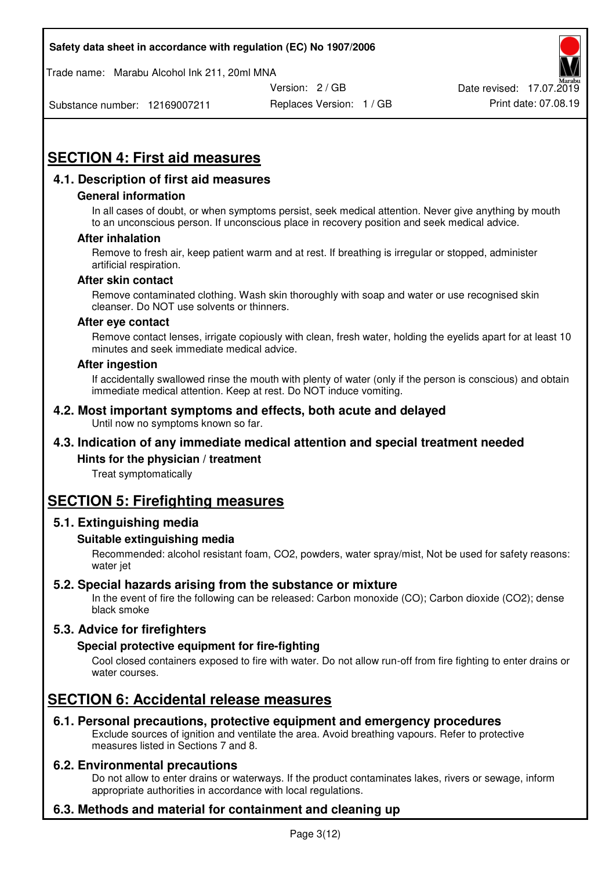Trade name: Marabu Alcohol Ink 211, 20ml MNA



Substance number: 12169007211

Replaces Version: 1 / GB Print date: 07.08.19

# **SECTION 4: First aid measures**

## **4.1. Description of first aid measures**

#### **General information**

In all cases of doubt, or when symptoms persist, seek medical attention. Never give anything by mouth to an unconscious person. If unconscious place in recovery position and seek medical advice.

#### **After inhalation**

Remove to fresh air, keep patient warm and at rest. If breathing is irregular or stopped, administer artificial respiration.

#### **After skin contact**

Remove contaminated clothing. Wash skin thoroughly with soap and water or use recognised skin cleanser. Do NOT use solvents or thinners.

#### **After eye contact**

Remove contact lenses, irrigate copiously with clean, fresh water, holding the eyelids apart for at least 10 minutes and seek immediate medical advice.

#### **After ingestion**

If accidentally swallowed rinse the mouth with plenty of water (only if the person is conscious) and obtain immediate medical attention. Keep at rest. Do NOT induce vomiting.

#### **4.2. Most important symptoms and effects, both acute and delayed**  Until now no symptoms known so far.

## **4.3. Indication of any immediate medical attention and special treatment needed**

#### **Hints for the physician / treatment**

Treat symptomatically

## **SECTION 5: Firefighting measures**

#### **5.1. Extinguishing media**

#### **Suitable extinguishing media**

Recommended: alcohol resistant foam, CO2, powders, water spray/mist, Not be used for safety reasons: water jet

#### **5.2. Special hazards arising from the substance or mixture**

In the event of fire the following can be released: Carbon monoxide (CO); Carbon dioxide (CO2); dense black smoke

## **5.3. Advice for firefighters**

#### **Special protective equipment for fire-fighting**

Cool closed containers exposed to fire with water. Do not allow run-off from fire fighting to enter drains or water courses.

## **SECTION 6: Accidental release measures**

#### **6.1. Personal precautions, protective equipment and emergency procedures**

Exclude sources of ignition and ventilate the area. Avoid breathing vapours. Refer to protective measures listed in Sections 7 and 8.

#### **6.2. Environmental precautions**

Do not allow to enter drains or waterways. If the product contaminates lakes, rivers or sewage, inform appropriate authorities in accordance with local regulations.

## **6.3. Methods and material for containment and cleaning up**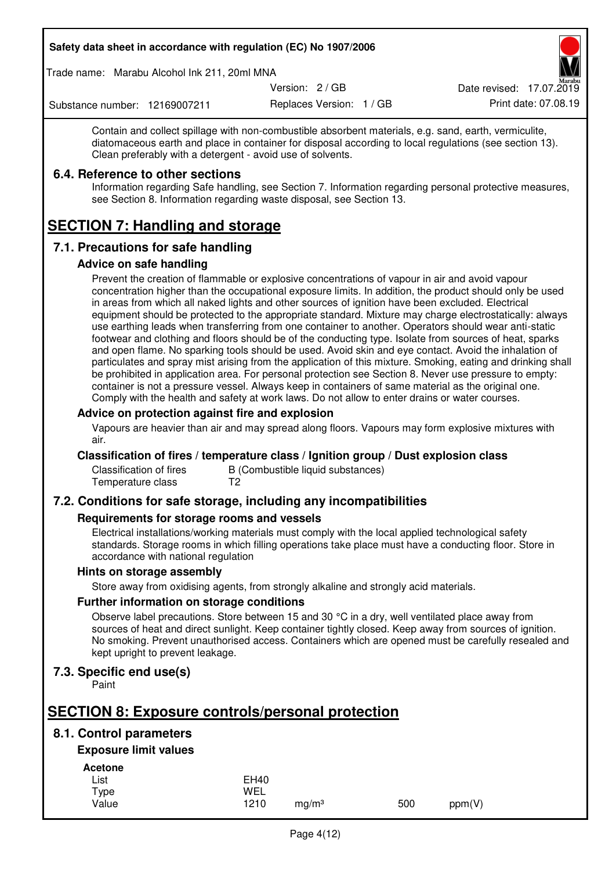Trade name: Marabu Alcohol Ink 211, 20ml MNA

Version: 2 / GB

Replaces Version: 1 / GB Print date: 07.08.19 Date revised: 17.07.2019

Substance number: 12169007211

Contain and collect spillage with non-combustible absorbent materials, e.g. sand, earth, vermiculite, diatomaceous earth and place in container for disposal according to local regulations (see section 13). Clean preferably with a detergent - avoid use of solvents.

## **6.4. Reference to other sections**

Information regarding Safe handling, see Section 7. Information regarding personal protective measures, see Section 8. Information regarding waste disposal, see Section 13.

# **SECTION 7: Handling and storage**

## **7.1. Precautions for safe handling**

#### **Advice on safe handling**

Prevent the creation of flammable or explosive concentrations of vapour in air and avoid vapour concentration higher than the occupational exposure limits. In addition, the product should only be used in areas from which all naked lights and other sources of ignition have been excluded. Electrical equipment should be protected to the appropriate standard. Mixture may charge electrostatically: always use earthing leads when transferring from one container to another. Operators should wear anti-static footwear and clothing and floors should be of the conducting type. Isolate from sources of heat, sparks and open flame. No sparking tools should be used. Avoid skin and eye contact. Avoid the inhalation of particulates and spray mist arising from the application of this mixture. Smoking, eating and drinking shall be prohibited in application area. For personal protection see Section 8. Never use pressure to empty: container is not a pressure vessel. Always keep in containers of same material as the original one. Comply with the health and safety at work laws. Do not allow to enter drains or water courses.

### **Advice on protection against fire and explosion**

Vapours are heavier than air and may spread along floors. Vapours may form explosive mixtures with air.

#### **Classification of fires / temperature class / Ignition group / Dust explosion class**

Classification of fires B (Combustible liquid substances)<br>Temperature class T2 Temperature class

## **7.2. Conditions for safe storage, including any incompatibilities**

#### **Requirements for storage rooms and vessels**

Electrical installations/working materials must comply with the local applied technological safety standards. Storage rooms in which filling operations take place must have a conducting floor. Store in accordance with national regulation

#### **Hints on storage assembly**

Store away from oxidising agents, from strongly alkaline and strongly acid materials.

#### **Further information on storage conditions**

Observe label precautions. Store between 15 and 30 °C in a dry, well ventilated place away from sources of heat and direct sunlight. Keep container tightly closed. Keep away from sources of ignition. No smoking. Prevent unauthorised access. Containers which are opened must be carefully resealed and kept upright to prevent leakage.

## **7.3. Specific end use(s)**

Paint

## **SECTION 8: Exposure controls/personal protection**

## **8.1. Control parameters**

## **Exposure limit values**

**Acetone** 

| -------- |             |                   |     |        |
|----------|-------------|-------------------|-----|--------|
| List     | <b>EH40</b> |                   |     |        |
| Type     | WEL         |                   |     |        |
| Value    | 1210        | ma/m <sup>3</sup> | 500 | ppm(V) |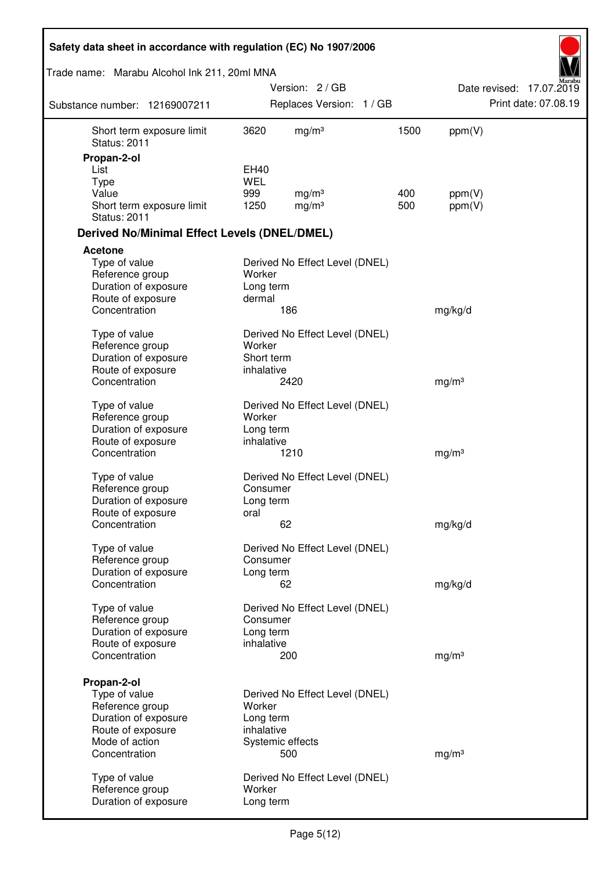| Safety data sheet in accordance with regulation (EC) No 1907/2006 |                           |                                |      |                   |                          |
|-------------------------------------------------------------------|---------------------------|--------------------------------|------|-------------------|--------------------------|
| Trade name: Marabu Alcohol Ink 211, 20ml MNA                      |                           |                                |      |                   |                          |
|                                                                   |                           | Version: 2 / GB                |      |                   | Date revised: 17.07.2019 |
| Substance number: 12169007211                                     |                           | Replaces Version: 1 / GB       |      |                   | Print date: 07.08.19     |
| Short term exposure limit<br><b>Status: 2011</b>                  | 3620                      | mg/m <sup>3</sup>              | 1500 | ppm(V)            |                          |
| Propan-2-ol                                                       |                           |                                |      |                   |                          |
| List                                                              | <b>EH40</b><br><b>WEL</b> |                                |      |                   |                          |
| <b>Type</b><br>Value                                              | 999                       | mg/m <sup>3</sup>              | 400  | ppm(V)            |                          |
| Short term exposure limit<br><b>Status: 2011</b>                  | 1250                      | mg/m <sup>3</sup>              | 500  | ppm(V)            |                          |
| <b>Derived No/Minimal Effect Levels (DNEL/DMEL)</b>               |                           |                                |      |                   |                          |
| <b>Acetone</b>                                                    |                           |                                |      |                   |                          |
| Type of value                                                     |                           | Derived No Effect Level (DNEL) |      |                   |                          |
| Reference group                                                   | Worker                    |                                |      |                   |                          |
| Duration of exposure                                              | Long term                 |                                |      |                   |                          |
| Route of exposure<br>Concentration                                | dermal                    | 186                            |      | mg/kg/d           |                          |
|                                                                   |                           |                                |      |                   |                          |
| Type of value                                                     |                           | Derived No Effect Level (DNEL) |      |                   |                          |
| Reference group                                                   | Worker                    |                                |      |                   |                          |
| Duration of exposure                                              | Short term                |                                |      |                   |                          |
| Route of exposure                                                 | inhalative                |                                |      |                   |                          |
| Concentration                                                     |                           | 2420                           |      | mg/m <sup>3</sup> |                          |
| Type of value                                                     |                           | Derived No Effect Level (DNEL) |      |                   |                          |
| Reference group                                                   | Worker                    |                                |      |                   |                          |
| Duration of exposure                                              | Long term                 |                                |      |                   |                          |
| Route of exposure                                                 | inhalative                |                                |      |                   |                          |
| Concentration                                                     |                           | 1210                           |      | mg/m <sup>3</sup> |                          |
|                                                                   |                           |                                |      |                   |                          |
| Type of value                                                     |                           | Derived No Effect Level (DNEL) |      |                   |                          |
| Reference group                                                   | Consumer                  |                                |      |                   |                          |
| Duration of exposure<br>Route of exposure                         | Long term<br>oral         |                                |      |                   |                          |
| Concentration                                                     |                           | 62                             |      | mg/kg/d           |                          |
|                                                                   |                           |                                |      |                   |                          |
| Type of value                                                     |                           | Derived No Effect Level (DNEL) |      |                   |                          |
| Reference group                                                   | Consumer                  |                                |      |                   |                          |
| Duration of exposure                                              | Long term                 |                                |      |                   |                          |
| Concentration                                                     |                           | 62                             |      | mg/kg/d           |                          |
| Type of value                                                     |                           | Derived No Effect Level (DNEL) |      |                   |                          |
| Reference group                                                   | Consumer                  |                                |      |                   |                          |
| Duration of exposure                                              | Long term                 |                                |      |                   |                          |
| Route of exposure                                                 | inhalative                |                                |      |                   |                          |
| Concentration                                                     |                           | 200                            |      | mg/m <sup>3</sup> |                          |
|                                                                   |                           |                                |      |                   |                          |
| Propan-2-ol                                                       |                           |                                |      |                   |                          |
| Type of value<br>Reference group                                  | Worker                    | Derived No Effect Level (DNEL) |      |                   |                          |
| Duration of exposure                                              | Long term                 |                                |      |                   |                          |
| Route of exposure                                                 | inhalative                |                                |      |                   |                          |
| Mode of action                                                    | Systemic effects          |                                |      |                   |                          |
| Concentration                                                     |                           | 500                            |      | mg/m <sup>3</sup> |                          |
|                                                                   |                           |                                |      |                   |                          |
| Type of value                                                     |                           | Derived No Effect Level (DNEL) |      |                   |                          |
| Reference group                                                   | Worker                    |                                |      |                   |                          |
| Duration of exposure                                              | Long term                 |                                |      |                   |                          |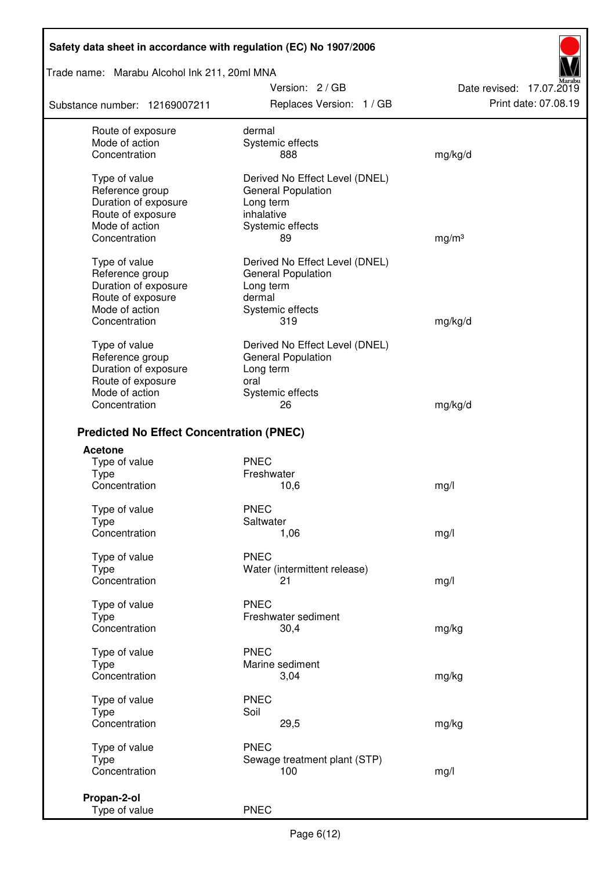### Trade name: Marabu Alcohol Ink 211, 20ml MNA

Substance number: 12169007211

Version: 2 / GB Replaces Version: 1 / GB Print date: 07.08.19

Date revised: 17.07.2019

| Route of exposure<br>Mode of action             | dermal<br>Systemic effects     |                   |  |
|-------------------------------------------------|--------------------------------|-------------------|--|
| Concentration                                   | 888                            | mg/kg/d           |  |
| Type of value                                   | Derived No Effect Level (DNEL) |                   |  |
| Reference group                                 | General Population             |                   |  |
| Duration of exposure<br>Route of exposure       | Long term<br>inhalative        |                   |  |
| Mode of action                                  | Systemic effects               |                   |  |
| Concentration                                   | 89                             | mg/m <sup>3</sup> |  |
| Type of value                                   | Derived No Effect Level (DNEL) |                   |  |
| Reference group                                 | General Population             |                   |  |
| Duration of exposure<br>Route of exposure       | Long term<br>dermal            |                   |  |
| Mode of action                                  | Systemic effects               |                   |  |
| Concentration                                   | 319                            | mg/kg/d           |  |
| Type of value                                   | Derived No Effect Level (DNEL) |                   |  |
| Reference group                                 | <b>General Population</b>      |                   |  |
| Duration of exposure<br>Route of exposure       | Long term<br>oral              |                   |  |
| Mode of action                                  | Systemic effects               |                   |  |
| Concentration                                   | 26                             | mg/kg/d           |  |
| <b>Predicted No Effect Concentration (PNEC)</b> |                                |                   |  |
| <b>Acetone</b>                                  |                                |                   |  |
| Type of value                                   | <b>PNEC</b>                    |                   |  |
| <b>Type</b>                                     | Freshwater                     |                   |  |
| Concentration                                   | 10,6                           | mg/l              |  |
| Type of value                                   | <b>PNEC</b><br>Saltwater       |                   |  |
| <b>Type</b><br>Concentration                    | 1,06                           | mg/l              |  |
| Type of value                                   | <b>PNEC</b>                    |                   |  |
| Type                                            | Water (intermittent release)   |                   |  |
| Concentration                                   | 21                             | mg/l              |  |
| Type of value                                   | <b>PNEC</b>                    |                   |  |
| <b>Type</b>                                     | Freshwater sediment            |                   |  |
| Concentration                                   | 30,4                           | mg/kg             |  |
| Type of value                                   | <b>PNEC</b>                    |                   |  |
| Type<br>Concentration                           | Marine sediment<br>3,04        |                   |  |
|                                                 |                                | mg/kg             |  |
| Type of value                                   | <b>PNEC</b>                    |                   |  |
| Type<br>Concentration                           | Soil<br>29,5                   | mg/kg             |  |
| Type of value                                   | <b>PNEC</b>                    |                   |  |
| <b>Type</b>                                     | Sewage treatment plant (STP)   |                   |  |
| Concentration                                   | 100                            | mg/l              |  |
| Propan-2-ol                                     |                                |                   |  |
| Type of value                                   | <b>PNEC</b>                    |                   |  |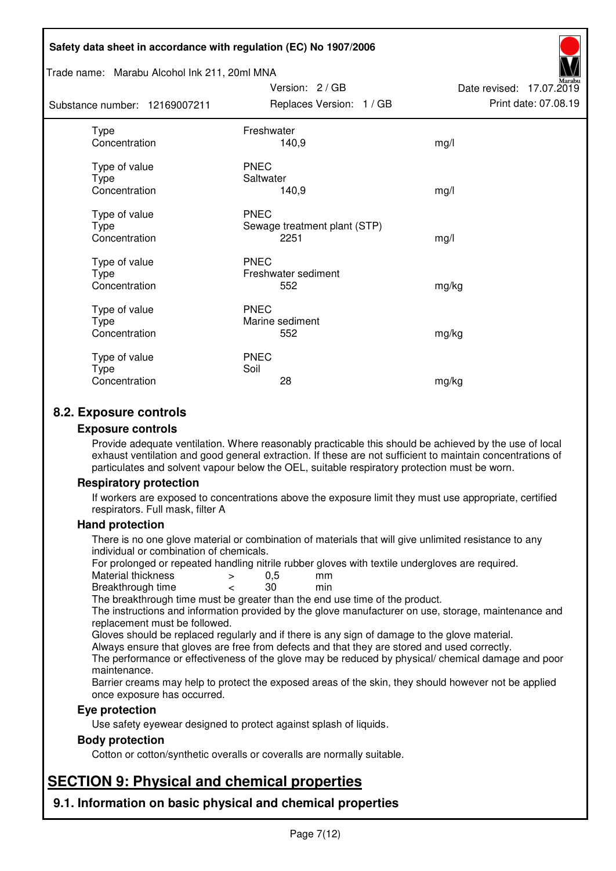#### Trade name: Marabu Alcohol Ink 211, 20ml MNA

| Substance number: 12169007211                 | Replaces Version: 1 / GB                            | Print date: 07.08.19 |
|-----------------------------------------------|-----------------------------------------------------|----------------------|
| Type<br>Concentration                         | Freshwater<br>140,9                                 | mg/l                 |
| Type of value<br><b>Type</b><br>Concentration | <b>PNEC</b><br>Saltwater<br>140,9                   | mg/l                 |
| Type of value<br>Type<br>Concentration        | <b>PNEC</b><br>Sewage treatment plant (STP)<br>2251 | mg/l                 |
| Type of value<br>Type<br>Concentration        | <b>PNEC</b><br>Freshwater sediment<br>552           | mg/kg                |
| Type of value<br>Type<br>Concentration        | <b>PNEC</b><br>Marine sediment<br>552               | mg/kg                |
| Type of value<br>Type<br>Concentration        | <b>PNEC</b><br>Soil<br>28                           | mg/kg                |

Version: 2 / GB

Date revised: 17.07.2019

## **8.2. Exposure controls**

#### **Exposure controls**

Provide adequate ventilation. Where reasonably practicable this should be achieved by the use of local exhaust ventilation and good general extraction. If these are not sufficient to maintain concentrations of particulates and solvent vapour below the OEL, suitable respiratory protection must be worn.

#### **Respiratory protection**

If workers are exposed to concentrations above the exposure limit they must use appropriate, certified respirators. Full mask, filter A

#### **Hand protection**

There is no one glove material or combination of materials that will give unlimited resistance to any individual or combination of chemicals.

For prolonged or repeated handling nitrile rubber gloves with textile undergloves are required.<br>Material thickness  $\geq 0.5$  mm

- Material thickness  $\begin{array}{ccc} 0.5 \\ -8.5 \end{array}$  Material thickness  $\begin{array}{ccc} 0.5 \\ -8.5 \end{array}$
- Breakthrough time < 30 min

The breakthrough time must be greater than the end use time of the product.

The instructions and information provided by the glove manufacturer on use, storage, maintenance and replacement must be followed.

Gloves should be replaced regularly and if there is any sign of damage to the glove material.

Always ensure that gloves are free from defects and that they are stored and used correctly.

The performance or effectiveness of the glove may be reduced by physical/ chemical damage and poor maintenance.

Barrier creams may help to protect the exposed areas of the skin, they should however not be applied once exposure has occurred.

#### **Eye protection**

Use safety eyewear designed to protect against splash of liquids.

#### **Body protection**

Cotton or cotton/synthetic overalls or coveralls are normally suitable.

## **SECTION 9: Physical and chemical properties**

**9.1. Information on basic physical and chemical properties**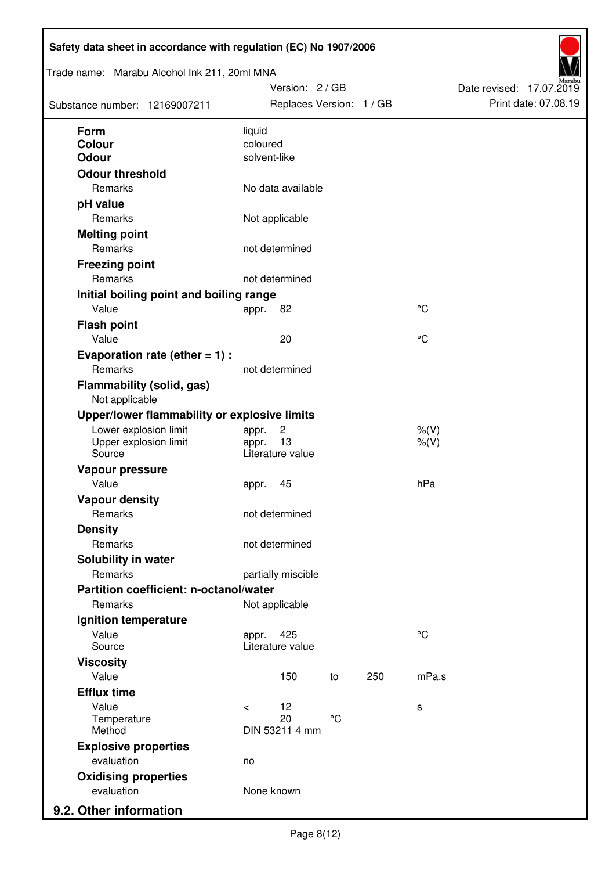| Trade name: Marabu Alcohol Ink 211, 20ml MNA       |            | Version: 2/GB            |             |     |             | Date revised: 17.07.2019 |                      |
|----------------------------------------------------|------------|--------------------------|-------------|-----|-------------|--------------------------|----------------------|
| Substance number: 12169007211                      |            | Replaces Version: 1 / GB |             |     |             |                          | Print date: 07.08.19 |
| Form                                               | liquid     |                          |             |     |             |                          |                      |
| <b>Colour</b>                                      | coloured   |                          |             |     |             |                          |                      |
| <b>Odour</b>                                       |            | solvent-like             |             |     |             |                          |                      |
| <b>Odour threshold</b>                             |            |                          |             |     |             |                          |                      |
| Remarks                                            |            | No data available        |             |     |             |                          |                      |
| pH value                                           |            |                          |             |     |             |                          |                      |
| Remarks                                            |            | Not applicable           |             |     |             |                          |                      |
| <b>Melting point</b>                               |            |                          |             |     |             |                          |                      |
| Remarks                                            |            | not determined           |             |     |             |                          |                      |
| <b>Freezing point</b>                              |            |                          |             |     |             |                          |                      |
| Remarks                                            |            | not determined           |             |     |             |                          |                      |
| Initial boiling point and boiling range            |            |                          |             |     |             |                          |                      |
| Value                                              | appr.      | 82                       |             |     | $^{\circ}C$ |                          |                      |
| <b>Flash point</b>                                 |            |                          |             |     |             |                          |                      |
| Value                                              |            | 20                       |             |     | $^{\circ}C$ |                          |                      |
| Evaporation rate (ether $= 1$ ) :                  |            |                          |             |     |             |                          |                      |
| Remarks                                            |            | not determined           |             |     |             |                          |                      |
| <b>Flammability (solid, gas)</b><br>Not applicable |            |                          |             |     |             |                          |                      |
| Upper/lower flammability or explosive limits       |            |                          |             |     |             |                          |                      |
| Lower explosion limit                              | appr.      | $\overline{c}$           |             |     | $%$ (V)     |                          |                      |
| Upper explosion limit                              | appr.      | 13                       |             |     | $%$ (V)     |                          |                      |
| Source                                             |            | Literature value         |             |     |             |                          |                      |
| Vapour pressure                                    |            |                          |             |     |             |                          |                      |
| Value                                              | appr.      | 45                       |             |     | hPa         |                          |                      |
| <b>Vapour density</b>                              |            |                          |             |     |             |                          |                      |
| Remarks                                            |            | not determined           |             |     |             |                          |                      |
| <b>Density</b>                                     |            |                          |             |     |             |                          |                      |
| Remarks                                            |            | not determined           |             |     |             |                          |                      |
| Solubility in water                                |            |                          |             |     |             |                          |                      |
| Remarks                                            |            | partially miscible       |             |     |             |                          |                      |
| Partition coefficient: n-octanol/water             |            |                          |             |     |             |                          |                      |
| Remarks                                            |            | Not applicable           |             |     |             |                          |                      |
| Ignition temperature                               |            |                          |             |     |             |                          |                      |
| Value<br>Source                                    | appr.      | 425<br>Literature value  |             |     | $^{\circ}C$ |                          |                      |
| <b>Viscosity</b>                                   |            |                          |             |     |             |                          |                      |
| Value                                              |            | 150                      | to          | 250 | mPa.s       |                          |                      |
| <b>Efflux time</b>                                 |            |                          |             |     |             |                          |                      |
| Value                                              | $\,<\,$    | 12                       |             |     | s           |                          |                      |
| Temperature<br>Method                              |            | 20<br>DIN 53211 4 mm     | $^{\circ}C$ |     |             |                          |                      |
|                                                    |            |                          |             |     |             |                          |                      |
| <b>Explosive properties</b><br>evaluation          |            |                          |             |     |             |                          |                      |
|                                                    | no         |                          |             |     |             |                          |                      |
| <b>Oxidising properties</b><br>evaluation          | None known |                          |             |     |             |                          |                      |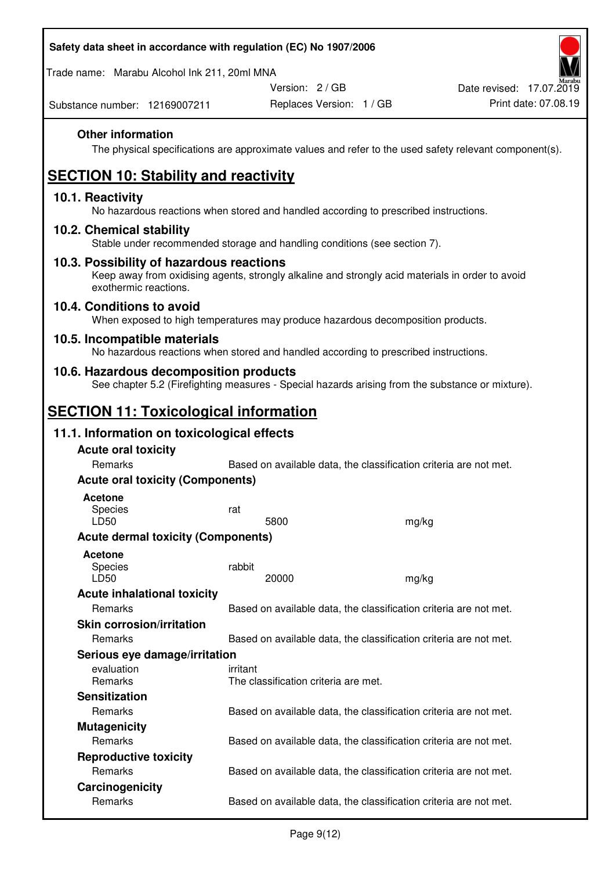Trade name: Marabu Alcohol Ink 211, 20ml MNA

Version: 2 / GB

Replaces Version: 1 / GB Print date: 07.08.19 Date revised: 17.07.2019

Substance number: 12169007211

### **Other information**

The physical specifications are approximate values and refer to the used safety relevant component(s).

# **SECTION 10: Stability and reactivity**

#### **10.1. Reactivity**

No hazardous reactions when stored and handled according to prescribed instructions.

#### **10.2. Chemical stability**

Stable under recommended storage and handling conditions (see section 7).

#### **10.3. Possibility of hazardous reactions**

Keep away from oxidising agents, strongly alkaline and strongly acid materials in order to avoid exothermic reactions.

#### **10.4. Conditions to avoid**

When exposed to high temperatures may produce hazardous decomposition products.

#### **10.5. Incompatible materials**

No hazardous reactions when stored and handled according to prescribed instructions.

### **10.6. Hazardous decomposition products**

See chapter 5.2 (Firefighting measures - Special hazards arising from the substance or mixture).

## **SECTION 11: Toxicological information**

### **11.1. Information on toxicological effects**

| <b>Acute oral toxicity</b><br><b>Remarks</b> | Based on available data, the classification criteria are not met. |       |
|----------------------------------------------|-------------------------------------------------------------------|-------|
| <b>Acute oral toxicity (Components)</b>      |                                                                   |       |
| Acetone<br>Species<br>LD50                   | rat<br>5800                                                       | mg/kg |
| <b>Acute dermal toxicity (Components)</b>    |                                                                   |       |
| Acetone<br><b>Species</b><br>LD50            | rabbit<br>20000                                                   | mg/kg |
| <b>Acute inhalational toxicity</b>           |                                                                   |       |
| Remarks                                      | Based on available data, the classification criteria are not met. |       |
| <b>Skin corrosion/irritation</b>             |                                                                   |       |
| Remarks                                      | Based on available data, the classification criteria are not met. |       |
| Serious eye damage/irritation                |                                                                   |       |
| evaluation<br>Remarks                        | irritant<br>The classification criteria are met.                  |       |
| <b>Sensitization</b>                         |                                                                   |       |
| Remarks                                      | Based on available data, the classification criteria are not met. |       |
| <b>Mutagenicity</b>                          |                                                                   |       |
| Remarks                                      | Based on available data, the classification criteria are not met. |       |
| <b>Reproductive toxicity</b>                 |                                                                   |       |
| Remarks                                      | Based on available data, the classification criteria are not met. |       |
| Carcinogenicity                              |                                                                   |       |
| Remarks                                      | Based on available data, the classification criteria are not met. |       |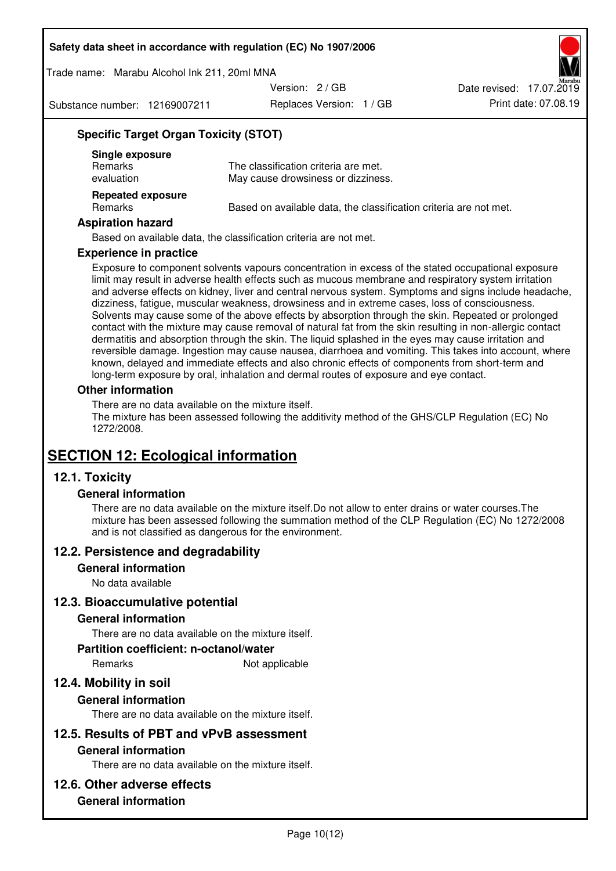Trade name: Marabu Alcohol Ink 211, 20ml MNA

Version: 2 / GB

Substance number: 12169007211

Replaces Version: 1 / GB Print date: 07.08.19 Date revised: 17.07.2019

## **Specific Target Organ Toxicity (STOT)**

| Single exposure<br><b>Remarks</b><br>evaluation | The classification criteria are met.<br>May cause drowsiness or dizziness. |
|-------------------------------------------------|----------------------------------------------------------------------------|
| <b>Repeated exposure</b><br><b>Remarks</b>      | Based on available data, the classification criteria are not met.          |

#### **Aspiration hazard**

Based on available data, the classification criteria are not met.

#### **Experience in practice**

Exposure to component solvents vapours concentration in excess of the stated occupational exposure limit may result in adverse health effects such as mucous membrane and respiratory system irritation and adverse effects on kidney, liver and central nervous system. Symptoms and signs include headache, dizziness, fatigue, muscular weakness, drowsiness and in extreme cases, loss of consciousness. Solvents may cause some of the above effects by absorption through the skin. Repeated or prolonged contact with the mixture may cause removal of natural fat from the skin resulting in non-allergic contact dermatitis and absorption through the skin. The liquid splashed in the eyes may cause irritation and reversible damage. Ingestion may cause nausea, diarrhoea and vomiting. This takes into account, where known, delayed and immediate effects and also chronic effects of components from short-term and long-term exposure by oral, inhalation and dermal routes of exposure and eye contact.

#### **Other information**

There are no data available on the mixture itself. The mixture has been assessed following the additivity method of the GHS/CLP Regulation (EC) No 1272/2008.

## **SECTION 12: Ecological information**

### **12.1. Toxicity**

#### **General information**

There are no data available on the mixture itself.Do not allow to enter drains or water courses.The mixture has been assessed following the summation method of the CLP Regulation (EC) No 1272/2008 and is not classified as dangerous for the environment.

#### **12.2. Persistence and degradability**

#### **General information**

No data available

#### **12.3. Bioaccumulative potential**

#### **General information**

There are no data available on the mixture itself.

#### **Partition coefficient: n-octanol/water**

Remarks Not applicable

## **12.4. Mobility in soil**

#### **General information**

There are no data available on the mixture itself.

#### **12.5. Results of PBT and vPvB assessment**

#### **General information**

There are no data available on the mixture itself.

#### **12.6. Other adverse effects**

### **General information**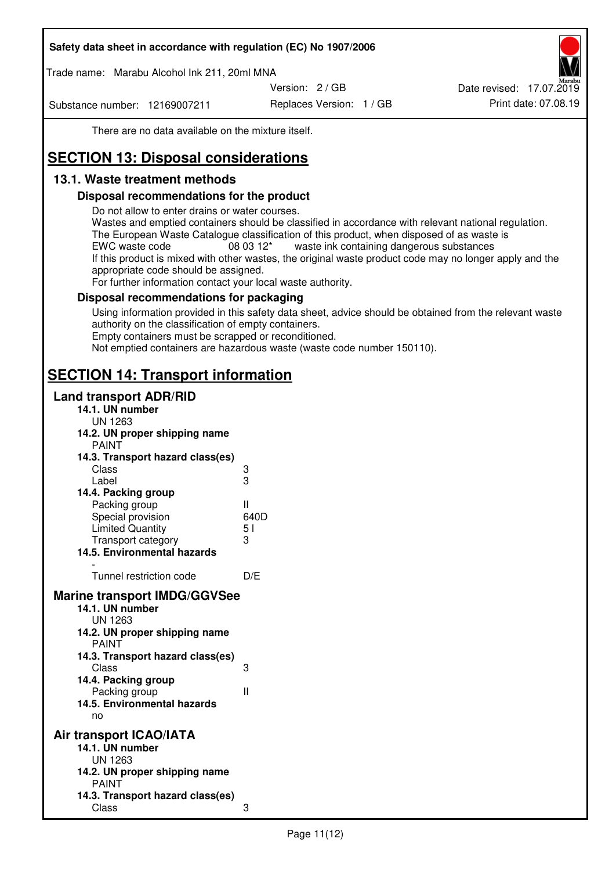Trade name: Marabu Alcohol Ink 211, 20ml MNA

Version: 2 / GB

Substance number: 12169007211

Replaces Version: 1 / GB Print date: 07.08.19 Date revised: 17.07.2019

There are no data available on the mixture itself.

# **SECTION 13: Disposal considerations**

## **13.1. Waste treatment methods**

#### **Disposal recommendations for the product**

Do not allow to enter drains or water courses.

Wastes and emptied containers should be classified in accordance with relevant national regulation. The European Waste Catalogue classification of this product, when disposed of as waste is EWC waste code  $08\,03\,12^*$  waste ink containing dangerous substances If this product is mixed with other wastes, the original waste product code may no longer apply and the appropriate code should be assigned.

For further information contact your local waste authority.

### **Disposal recommendations for packaging**

Using information provided in this safety data sheet, advice should be obtained from the relevant waste authority on the classification of empty containers. Empty containers must be scrapped or reconditioned.

Not emptied containers are hazardous waste (waste code number 150110).

## **SECTION 14: Transport information**

#### **Land transport ADR/RID**

| 14.1. UN number<br><b>UN 1263</b>                                                                                                                                                                                                            |                   |
|----------------------------------------------------------------------------------------------------------------------------------------------------------------------------------------------------------------------------------------------|-------------------|
| 14.2. UN proper shipping name                                                                                                                                                                                                                |                   |
| <b>PAINT</b>                                                                                                                                                                                                                                 |                   |
| 14.3. Transport hazard class(es)                                                                                                                                                                                                             |                   |
| Class                                                                                                                                                                                                                                        | ვ<br>ვ            |
| Label                                                                                                                                                                                                                                        |                   |
| 14.4. Packing group                                                                                                                                                                                                                          |                   |
| Packing group                                                                                                                                                                                                                                | Ш                 |
| Special provision                                                                                                                                                                                                                            | 640D              |
| <b>Limited Quantity</b>                                                                                                                                                                                                                      | 5 <sub>1</sub>    |
| Transport category                                                                                                                                                                                                                           | 3                 |
| 14.5. Environmental hazards                                                                                                                                                                                                                  |                   |
| Tunnel restriction code                                                                                                                                                                                                                      | D/E               |
| <b>Marine transport IMDG/GGVSee</b><br>14.1. UN number<br>UN 1263<br>14.2. UN proper shipping name<br><b>PAINT</b><br>14.3. Transport hazard class(es)<br>Class<br>14.4. Packing group<br>Packing group<br>14.5. Environmental hazards<br>no | 3<br>$\mathbf{I}$ |
| Air transport ICAO/IATA<br>14.1. UN number<br>UN 1263<br>14.2. UN proper shipping name<br><b>PAINT</b>                                                                                                                                       |                   |
| 14.3. Transport hazard class(es)<br>Class                                                                                                                                                                                                    | 3                 |